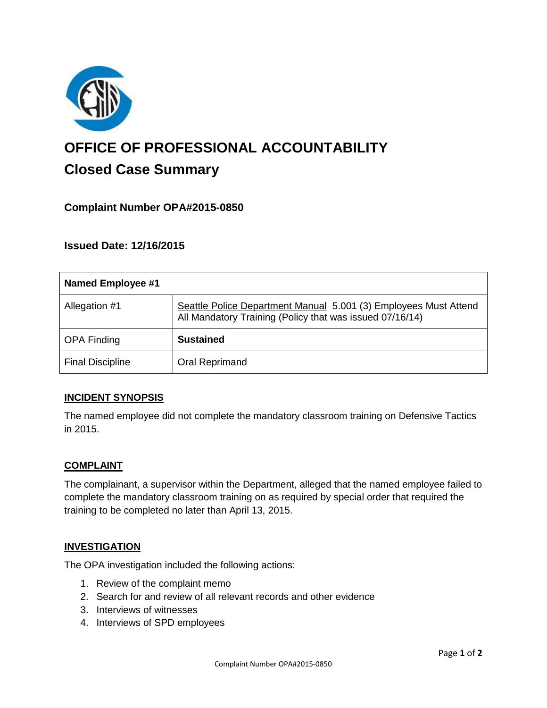

# **OFFICE OF PROFESSIONAL ACCOUNTABILITY Closed Case Summary**

# **Complaint Number OPA#2015-0850**

**Issued Date: 12/16/2015**

| Named Employee #1       |                                                                                                                              |
|-------------------------|------------------------------------------------------------------------------------------------------------------------------|
| Allegation #1           | Seattle Police Department Manual 5.001 (3) Employees Must Attend<br>All Mandatory Training (Policy that was issued 07/16/14) |
| <b>OPA Finding</b>      | <b>Sustained</b>                                                                                                             |
| <b>Final Discipline</b> | Oral Reprimand                                                                                                               |

## **INCIDENT SYNOPSIS**

The named employee did not complete the mandatory classroom training on Defensive Tactics in 2015.

#### **COMPLAINT**

The complainant, a supervisor within the Department, alleged that the named employee failed to complete the mandatory classroom training on as required by special order that required the training to be completed no later than April 13, 2015.

#### **INVESTIGATION**

The OPA investigation included the following actions:

- 1. Review of the complaint memo
- 2. Search for and review of all relevant records and other evidence
- 3. Interviews of witnesses
- 4. Interviews of SPD employees